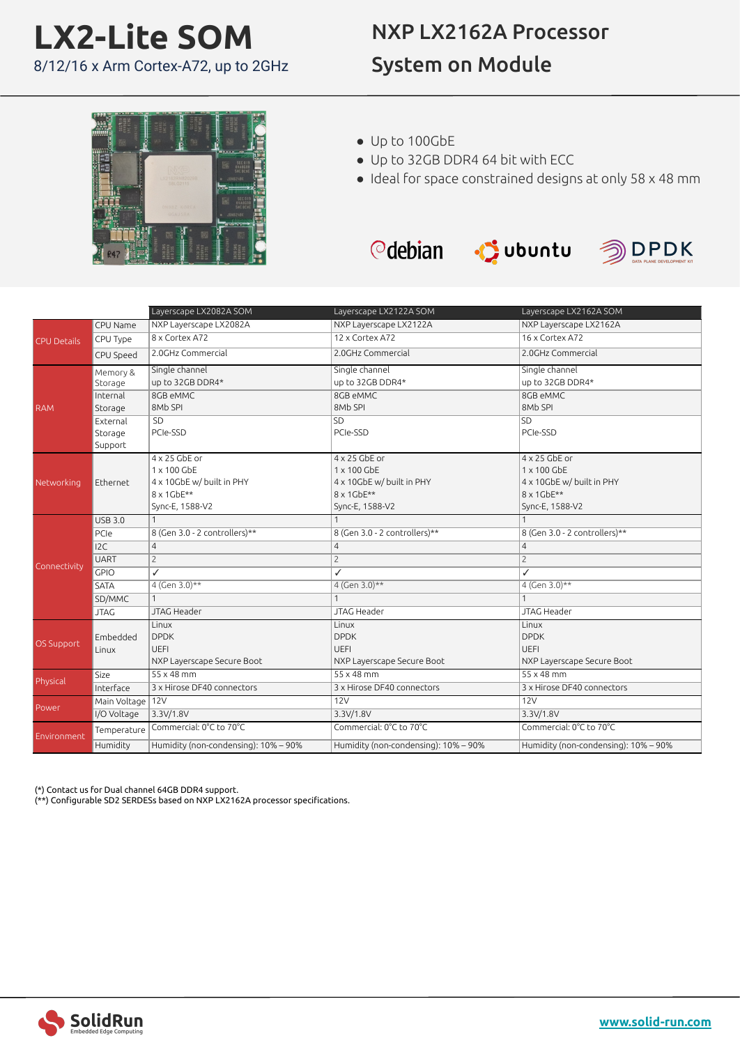## **LX2-Lite SOM** 8/12/16 x Arm Cortex-A72, up to 2GHz

## NXP LX2162A Processor System on Module



- Up to 100GbE
- Up to 32GB DDR4 64 bit with ECC
- Ideal for space constrained designs at only 58 x 48 mm







|                    |                    | Layerscape LX2082A SOM               | Layerscape LX2122A SOM               | Layerscape LX2162A SOM               |
|--------------------|--------------------|--------------------------------------|--------------------------------------|--------------------------------------|
| <b>CPU Details</b> | CPU Name           | NXP Layerscape LX2082A               | NXP Layerscape LX2122A               | NXP Layerscape LX2162A               |
|                    | CPU Type           | 8 x Cortex A72                       | 12 x Cortex A72                      | 16 x Cortex A72                      |
|                    | CPU Speed          | 2.0GHz Commercial                    | 2.0GHz Commercial                    | 2.0GHz Commercial                    |
| <b>RAM</b>         | Memory &           | Single channel                       | Single channel                       | Single channel                       |
|                    | Storage            | up to 32GB DDR4*                     | up to 32GB DDR4*                     | up to 32GB DDR4*                     |
|                    | Internal           | 8GB eMMC                             | 8GB eMMC                             | 8GB eMMC                             |
|                    | Storage            | 8Mb SPI                              | 8Mb SPI                              | 8Mb SPI                              |
|                    | External           | SD                                   | <b>SD</b>                            | SD                                   |
|                    | Storage            | PCIe-SSD                             | PCIe-SSD                             | PCIe-SSD                             |
|                    | Support            |                                      |                                      |                                      |
| Networking         |                    | $4 \times 25$ GbE or                 | 4 x 25 GbE or                        | 4 x 25 GbE or                        |
|                    |                    | 1 x 100 GbE                          | 1 x 100 GbE                          | 1 x 100 GbE                          |
|                    | Ethernet           | 4 x 10GbE w/ built in PHY            | 4 x 10GbE w/ built in PHY            | 4 x 10GbE w/ built in PHY            |
|                    |                    | 8 x 1GbE**                           | 8 x 1GbE**                           | 8 x 1GbE**                           |
|                    |                    | Sync-E, 1588-V2                      | Sync-E, 1588-V2                      | Sync-E, 1588-V2                      |
|                    | <b>USB 3.0</b>     | $\mathbf{1}$                         | 1                                    | $\mathbf{1}$                         |
|                    | PCIe               | 8 (Gen 3.0 - 2 controllers)**        | 8 (Gen 3.0 - 2 controllers)**        | 8 (Gen 3.0 - 2 controllers)**        |
|                    | 12C                | $\overline{4}$                       | $\overline{4}$                       | 4                                    |
| Connectivity       | <b>UART</b>        | $\overline{c}$                       | $\overline{c}$                       | $\overline{c}$                       |
|                    | <b>GPIO</b>        | $\checkmark$                         | ✓                                    | ✓                                    |
|                    | <b>SATA</b>        | $4$ (Gen 3.0)**                      | 4 (Gen $3.0$ )**                     | 4 (Gen 3.0)**                        |
|                    | SD/MMC             | $\mathbf{1}$                         | 1                                    | $\mathbf{1}$                         |
|                    | <b>JTAG</b>        | <b>JTAG Header</b>                   | <b>JTAG Header</b>                   | <b>JTAG Header</b>                   |
| OS Support         |                    | Linux                                | Linux                                | Linux                                |
|                    | Embedded           | <b>DPDK</b>                          | <b>DPDK</b>                          | <b>DPDK</b>                          |
|                    | Linux              | <b>UEFI</b>                          | <b>UEFI</b>                          | <b>UEFI</b>                          |
|                    |                    | NXP Layerscape Secure Boot           | NXP Layerscape Secure Boot           | NXP Layerscape Secure Boot           |
| Physical           | Size               | $55 \times 48$ mm                    | $55 \times 48$ mm                    | $55 \times 48$ mm                    |
|                    | Interface          | 3 x Hirose DF40 connectors           | 3 x Hirose DF40 connectors           | 3 x Hirose DF40 connectors           |
| Power              | Main Voltage   12V |                                      | 12V                                  | 12V                                  |
|                    | I/O Voltage        | 3.3V/1.8V                            | 3.3V/1.8V                            | 3.3V/1.8V                            |
| Environment        | Temperature        | Commercial: 0°C to 70°C              | Commercial: 0°C to 70°C              | Commercial: 0°C to 70°C              |
|                    | Humidity           | Humidity (non-condensing): 10% - 90% | Humidity (non-condensing): 10% - 90% | Humidity (non-condensing): 10% - 90% |

(\*) Contact us for Dual channel 64GB DDR4 support.

(\*\*) Configurable SD2 SERDESs based on NXP LX2162A processor specifications.